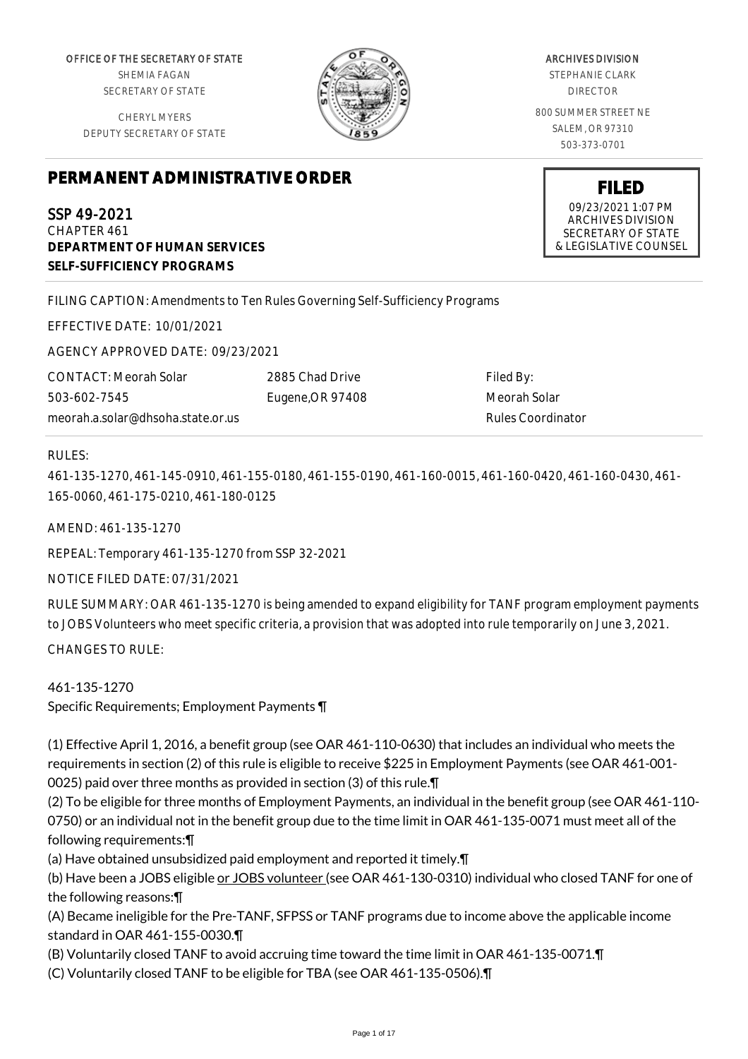OFFICE OF THE SECRETARY OF STATE SHEMIA FAGAN SECRETARY OF STATE

CHERYL MYERS DEPUTY SECRETARY OF STATE



ARCHIVES DIVISION STEPHANIE CLARK

DIRECTOR

800 SUMMER STREET NE SALEM, OR 97310 503-373-0701

> **FILED** 09/23/2021 1:07 PM ARCHIVES DIVISION SECRETARY OF STATE & LEGISLATIVE COUNSEL

# **PERMANENT ADMINISTRATIVE ORDER**

SSP 49-2021 CHAPTER 461 **DEPARTMENT OF HUMAN SERVICES SELF-SUFFICIENCY PROGRAMS**

FILING CAPTION: Amendments to Ten Rules Governing Self-Sufficiency Programs

EFFECTIVE DATE: 10/01/2021

AGENCY APPROVED DATE: 09/23/2021

CONTACT: Meorah Solar 503-602-7545 meorah.a.solar@dhsoha.state.or.us 2885 Chad Drive Eugene,OR 97408

Filed By: Meorah Solar Rules Coordinator

# RULES:

461-135-1270, 461-145-0910, 461-155-0180, 461-155-0190, 461-160-0015, 461-160-0420, 461-160-0430, 461- 165-0060, 461-175-0210, 461-180-0125

AMEND: 461-135-1270

REPEAL: Temporary 461-135-1270 from SSP 32-2021

NOTICE FILED DATE: 07/31/2021

RULE SUMMARY: OAR 461-135-1270 is being amended to expand eligibility for TANF program employment payments to JOBS Volunteers who meet specific criteria, a provision that was adopted into rule temporarily on June 3, 2021.

CHANGES TO RULE:

# 461-135-1270

Specific Requirements; Employment Payments ¶

(1) Effective April 1, 2016, a benefit group (see OAR 461-110-0630) that includes an individual who meets the requirements in section (2) of this rule is eligible to receive \$225 in Employment Payments (see OAR 461-001- 0025) paid over three months as provided in section (3) of this rule.¶

(2) To be eligible for three months of Employment Payments, an individual in the benefit group (see OAR 461-110- 0750) or an individual not in the benefit group due to the time limit in OAR 461-135-0071 must meet all of the following requirements:¶

(a) Have obtained unsubsidized paid employment and reported it timely.¶

(b) Have been a JOBS eligible or JOBS volunteer (see OAR 461-130-0310) individual who closed TANF for one of the following reasons:¶

(A) Became ineligible for the Pre-TANF, SFPSS or TANF programs due to income above the applicable income standard in OAR 461-155-0030.¶

(B) Voluntarily closed TANF to avoid accruing time toward the time limit in OAR 461-135-0071.¶

(C) Voluntarily closed TANF to be eligible for TBA (see OAR 461-135-0506).¶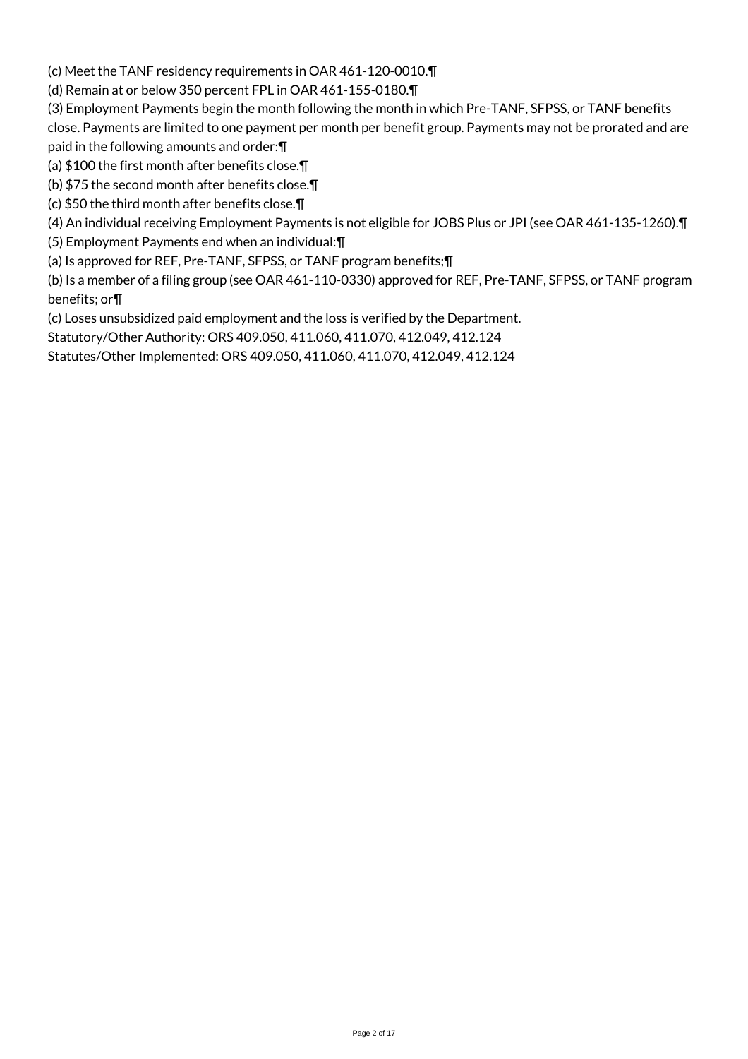(c) Meet the TANF residency requirements in OAR 461-120-0010.¶

(d) Remain at or below 350 percent FPL in OAR 461-155-0180.¶

(3) Employment Payments begin the month following the month in which Pre-TANF, SFPSS, or TANF benefits close. Payments are limited to one payment per month per benefit group. Payments may not be prorated and are paid in the following amounts and order:¶

(a) \$100 the first month after benefits close.¶

(b) \$75 the second month after benefits close.¶

(c) \$50 the third month after benefits close.¶

(4) An individual receiving Employment Payments is not eligible for JOBS Plus or JPI (see OAR 461-135-1260).¶

(5) Employment Payments end when an individual:¶

(a) Is approved for REF, Pre-TANF, SFPSS, or TANF program benefits;¶

(b) Is a member of a filing group (see OAR 461-110-0330) approved for REF, Pre-TANF, SFPSS, or TANF program benefits; or¶

(c) Loses unsubsidized paid employment and the loss is verified by the Department.

Statutory/Other Authority: ORS 409.050, 411.060, 411.070, 412.049, 412.124

Statutes/Other Implemented: ORS 409.050, 411.060, 411.070, 412.049, 412.124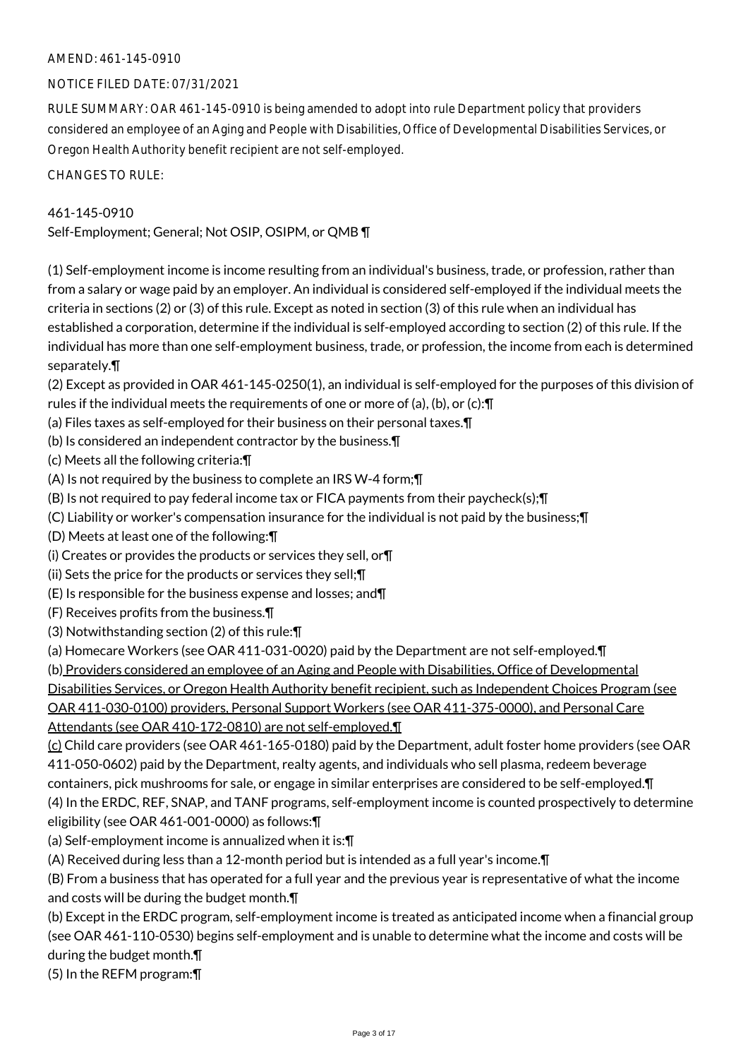# AMEND: 461-145-0910

# NOTICE FILED DATE: 07/31/2021

RULE SUMMARY: OAR 461-145-0910 is being amended to adopt into rule Department policy that providers considered an employee of an Aging and People with Disabilities, Office of Developmental Disabilities Services, or Oregon Health Authority benefit recipient are not self-employed.

CHANGES TO RULE:

#### 461-145-0910

Self-Employment; General; Not OSIP, OSIPM, or QMB ¶

(1) Self-employment income is income resulting from an individual's business, trade, or profession, rather than from a salary or wage paid by an employer. An individual is considered self-employed if the individual meets the criteria in sections (2) or (3) of this rule. Except as noted in section (3) of this rule when an individual has established a corporation, determine if the individual is self-employed according to section (2) of this rule. If the individual has more than one self-employment business, trade, or profession, the income from each is determined separately.¶

(2) Except as provided in OAR 461-145-0250(1), an individual is self-employed for the purposes of this division of rules if the individual meets the requirements of one or more of (a), (b), or (c):¶

- (a) Files taxes as self-employed for their business on their personal taxes.¶
- (b) Is considered an independent contractor by the business.¶

(c) Meets all the following criteria:¶

(A) Is not required by the business to complete an IRS W-4 form;¶

(B) Is not required to pay federal income tax or FICA payments from their paycheck(s);¶

(C) Liability or worker's compensation insurance for the individual is not paid by the business;¶

(D) Meets at least one of the following:¶

(i) Creates or provides the products or services they sell, or¶

(ii) Sets the price for the products or services they sell;¶

(E) Is responsible for the business expense and losses; and¶

- (F) Receives profits from the business.¶
- (3) Notwithstanding section (2) of this rule:¶

(a) Homecare Workers (see OAR 411-031-0020) paid by the Department are not self-employed.¶

(b) Providers considered an employee of an Aging and People with Disabilities, Office of Developmental

Disabilities Services, or Oregon Health Authority benefit recipient, such as Independent Choices Program (see

OAR 411-030-0100) providers, Personal Support Workers (see OAR 411-375-0000), and Personal Care

Attendants (see OAR 410-172-0810) are not self-employed.¶

 $(c)$  Child care providers (see OAR 461-165-0180) paid by the Department, adult foster home providers (see OAR 411-050-0602) paid by the Department, realty agents, and individuals who sell plasma, redeem beverage containers, pick mushrooms for sale, or engage in similar enterprises are considered to be self-employed.¶ (4) In the ERDC, REF, SNAP, and TANF programs, self-employment income is counted prospectively to determine eligibility (see OAR 461-001-0000) as follows:¶

(a) Self-employment income is annualized when it is:¶

(A) Received during less than a 12-month period but is intended as a full year's income.¶

(B) From a business that has operated for a full year and the previous year is representative of what the income and costs will be during the budget month.¶

(b) Except in the ERDC program, self-employment income is treated as anticipated income when a financial group (see OAR 461-110-0530) begins self-employment and is unable to determine what the income and costs will be during the budget month.¶

(5) In the REFM program:¶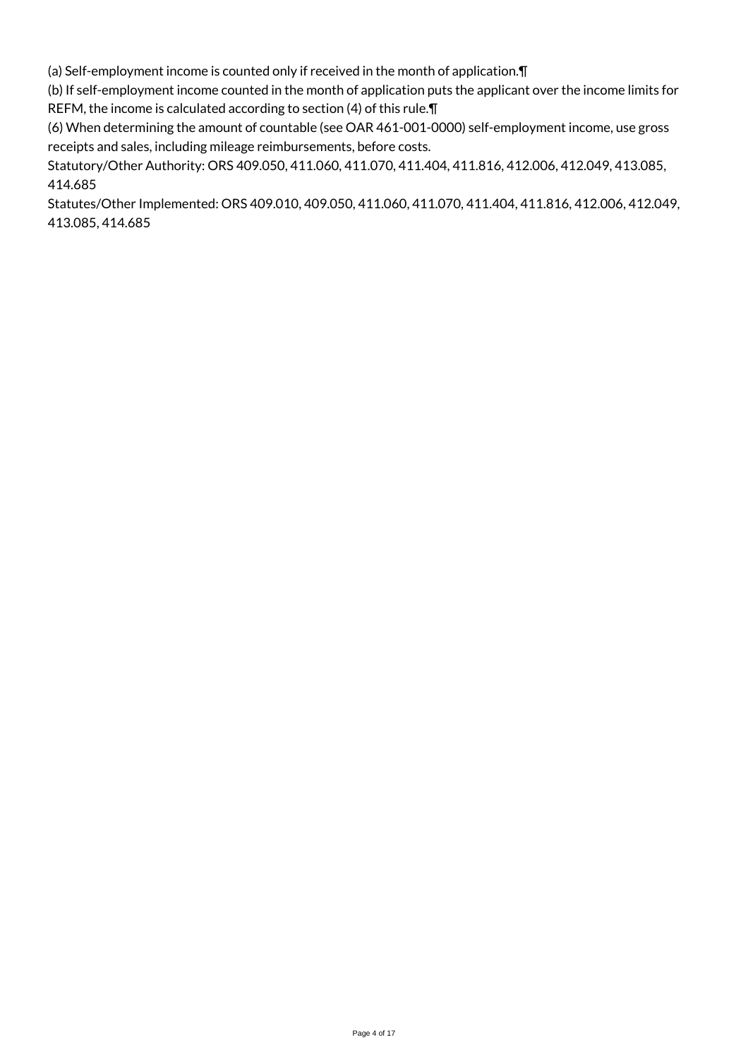(a) Self-employment income is counted only if received in the month of application.¶

(b) If self-employment income counted in the month of application puts the applicant over the income limits for REFM, the income is calculated according to section (4) of this rule.¶

(6) When determining the amount of countable (see OAR 461-001-0000) self-employment income, use gross receipts and sales, including mileage reimbursements, before costs.

Statutory/Other Authority: ORS 409.050, 411.060, 411.070, 411.404, 411.816, 412.006, 412.049, 413.085, 414.685

Statutes/Other Implemented: ORS 409.010, 409.050, 411.060, 411.070, 411.404, 411.816, 412.006, 412.049, 413.085, 414.685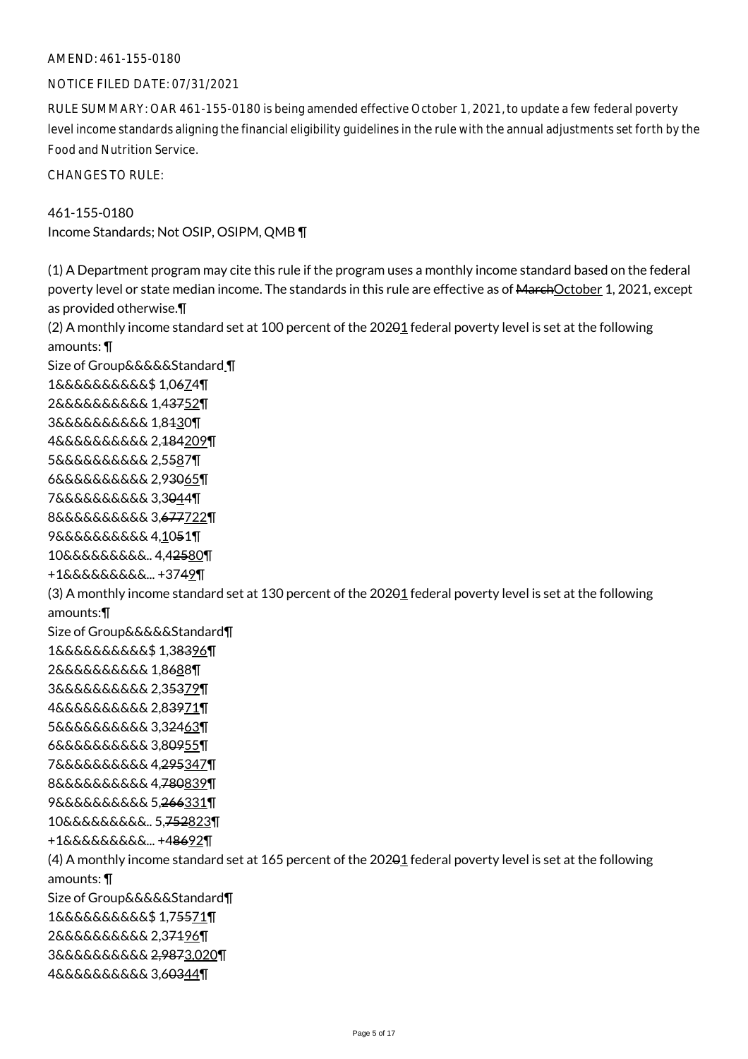#### AMEND: 461-155-0180

#### NOTICE FILED DATE: 07/31/2021

RULE SUMMARY: OAR 461-155-0180 is being amended effective October 1, 2021, to update a few federal poverty level income standards aligning the financial eligibility guidelines in the rule with the annual adjustments set forth by the Food and Nutrition Service.

CHANGES TO RULE:

461-155-0180 Income Standards; Not OSIP, OSIPM, QMB ¶

(1) A Department program may cite this rule if the program uses a monthly income standard based on the federal poverty level or state median income. The standards in this rule are effective as of MarchOctober 1, 2021, except as provided otherwise.¶ (2) A monthly income standard set at 100 percent of the 20201 federal poverty level is set at the following amounts: ¶ Size of Group&&&&&Standard ¶ 1&&&&&&&&&&\$ 1,0674¶ 2&&&&&&&&&& 1,43752¶ 3&&&&&&&&&& 1,8130¶ 4&&&&&&&&&& 2,184209¶ 5&&&&&&&&&& 2,5587¶ 6&&&&&&&&&& 2,93065¶ 7&&&&&&&&&& 3,3044¶ 8&&&&&&&&&& 3,677722¶ 9&&&&&&&&&& 4,1051¶ 10&&&&&&&&&.. 4,42580¶ +1&&&&&&&&&... +3749¶ (3) A monthly income standard set at 130 percent of the 20201 federal poverty level is set at the following amounts:¶ Size of Group&&&&&Standard¶ 1&&&&&&&&&&\$ 1,38396¶ 2&&&&&&&&&& 1,8688¶ 3&&&&&&&&&& 2,35379¶ 4&&&&&&&&&& 2,83971¶ 5&&&&&&&&&& 3,32463¶ 6&&&&&&&&&& 3,80955¶ 7&&&&&&&&&& 4,295347¶ 8&&&&&&&&&& 4,780839¶ 9&&&&&&&&&& 5,266331¶ 10&&&&&&&&&.. 5,752823¶ +1&&&&&&&&&... +48692¶ (4) A monthly income standard set at 165 percent of the 20201 federal poverty level is set at the following amounts: ¶ Size of Group&&&&&Standard¶ 1&&&&&&&&&&\$ 1,75571¶ 2&&&&&&&&&& 2,37196¶ 3&&&&&&&&&& 2,9873,020¶ 4&&&&&&&&&& 3,60344¶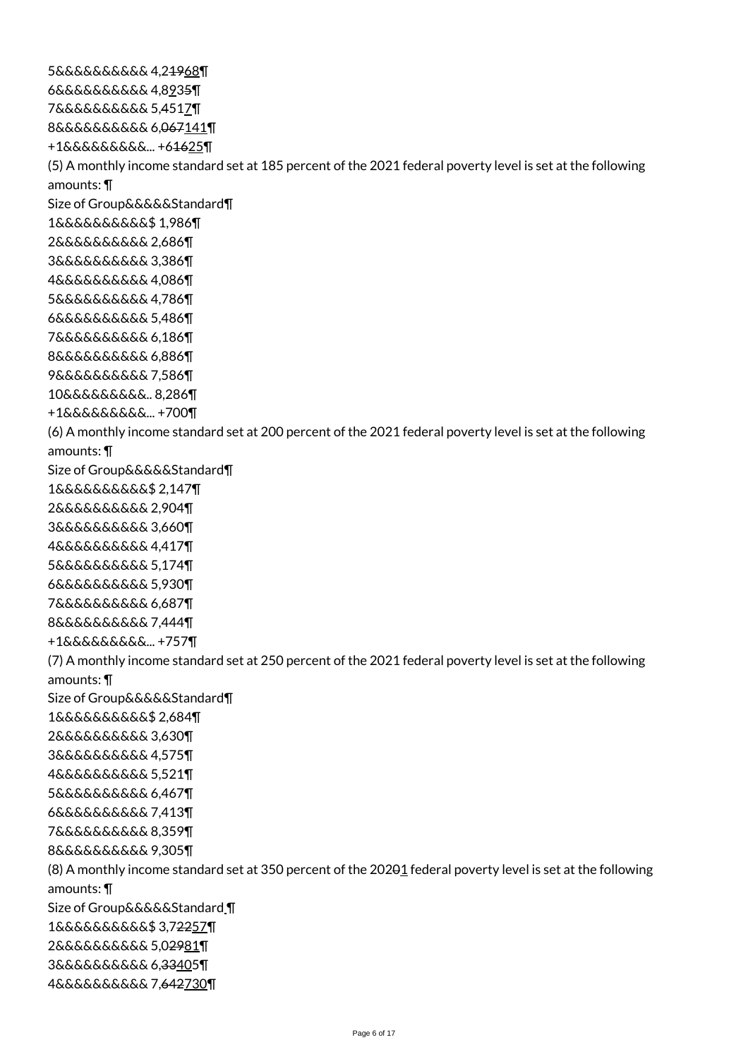5&&&&&&&&&& 4,21968¶ 6&&&&&&&&&& 4,8935¶ 7&&&&&&&&&& 5,4517¶ 8&&&&&&&&&& 6,067141¶ +1&&&&&&&&&... +61625¶ (5) A monthly income standard set at 185 percent of the 2021 federal poverty level is set at the following amounts: ¶ Size of Group&&&&&Standard¶ 1&&&&&&&&&&\$ 1,986¶ 2&&&&&&&&&& 2,686¶ 3&&&&&&&&&& 3,386¶ 4&&&&&&&&&& 4,086¶ 5&&&&&&&&&& 4,786¶ 6&&&&&&&&&& 5,486¶ 7&&&&&&&&&& 6,186¶ 8&&&&&&&&&& 6,886¶ 9&&&&&&&&&& 7,586¶ 10&&&&&&&&&.. 8,286¶ +1&&&&&&&&&... +700¶ (6) A monthly income standard set at 200 percent of the 2021 federal poverty level is set at the following amounts: ¶ Size of Group&&&&&Standard¶ 1&&&&&&&&&&\$ 2,147¶ 2&&&&&&&&&& 2,904¶ 3&&&&&&&&&& 3,660¶ 4&&&&&&&&&& 4,417¶ 5&&&&&&&&&& 5,174¶ 6&&&&&&&&&& 5,930¶ 7&&&&&&&&&& 6,687¶ 8&&&&&&&&&& 7,444¶ +1&&&&&&&&&... +757¶ (7) A monthly income standard set at 250 percent of the 2021 federal poverty level is set at the following amounts: ¶ Size of Group&&&&&Standard¶ 1&&&&&&&&&&\$ 2,684¶ 2&&&&&&&&&& 3,630¶ 3&&&&&&&&&& 4,575¶ 4&&&&&&&&&& 5,521¶ 5&&&&&&&&&& 6,467¶ 6&&&&&&&&&& 7,413¶ 7&&&&&&&&&& 8,359¶ 8&&&&&&&&&& 9,305¶ (8) A monthly income standard set at 350 percent of the 20201 federal poverty level is set at the following amounts: ¶ Size of Group&&&&&Standard ¶ 1&&&&&&&&&&\$ 3,72257¶ 2&&&&&&&&&& 5,02981¶ 3&&&&&&&&&& 6,33405¶ 4&&&&&&&&&& 7,642730¶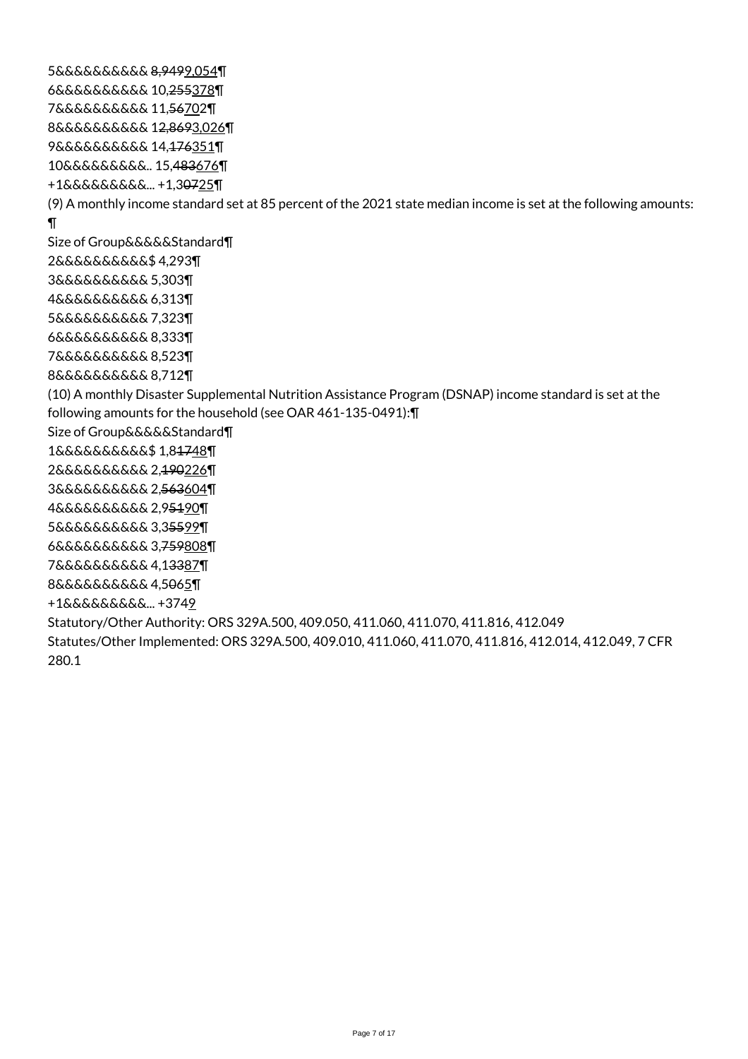5&&&&&&&&&& 8,9499,054¶ 6&&&&&&&&&& 10,255378¶ 7&&&&&&&&&& 11,56702¶ 8&&&&&&&&&& 12,8693,026¶ 9&&&&&&&&&& 14,176351¶ 10&&&&&&&&&.. 15,483676¶ +1&&&&&&&&&... +1,30725¶ (9) A monthly income standard set at 85 percent of the 2021 state median income is set at the following amounts: ¶ Size of Group&&&&&Standard¶ 2&&&&&&&&&&\$ 4,293¶ 3&&&&&&&&&& 5,303¶ 4&&&&&&&&&& 6,313¶ 5&&&&&&&&&& 7,323¶ 6&&&&&&&&&& 8,333¶ 7&&&&&&&&&& 8,523¶ 8&&&&&&&&&& 8,712¶ (10) A monthly Disaster Supplemental Nutrition Assistance Program (DSNAP) income standard is set at the following amounts for the household (see OAR 461-135-0491):¶ Size of Group&&&&&Standard¶ 1&&&&&&&&&&\$ 1,81748¶ 2&&&&&&&&&& 2,190226¶ 3&&&&&&&&&& 2,563604¶ 4&&&&&&&&&& 2,95190¶ 5&&&&&&&&&& 3,35599¶ 6&&&&&&&&&& 3,759808¶ 7&&&&&&&&&& 4,13387¶ 8&&&&&&&&&& 4,5065¶ +1&&&&&&&&&... +3749 Statutory/Other Authority: ORS 329A.500, 409.050, 411.060, 411.070, 411.816, 412.049 Statutes/Other Implemented: ORS 329A.500, 409.010, 411.060, 411.070, 411.816, 412.014, 412.049, 7 CFR 280.1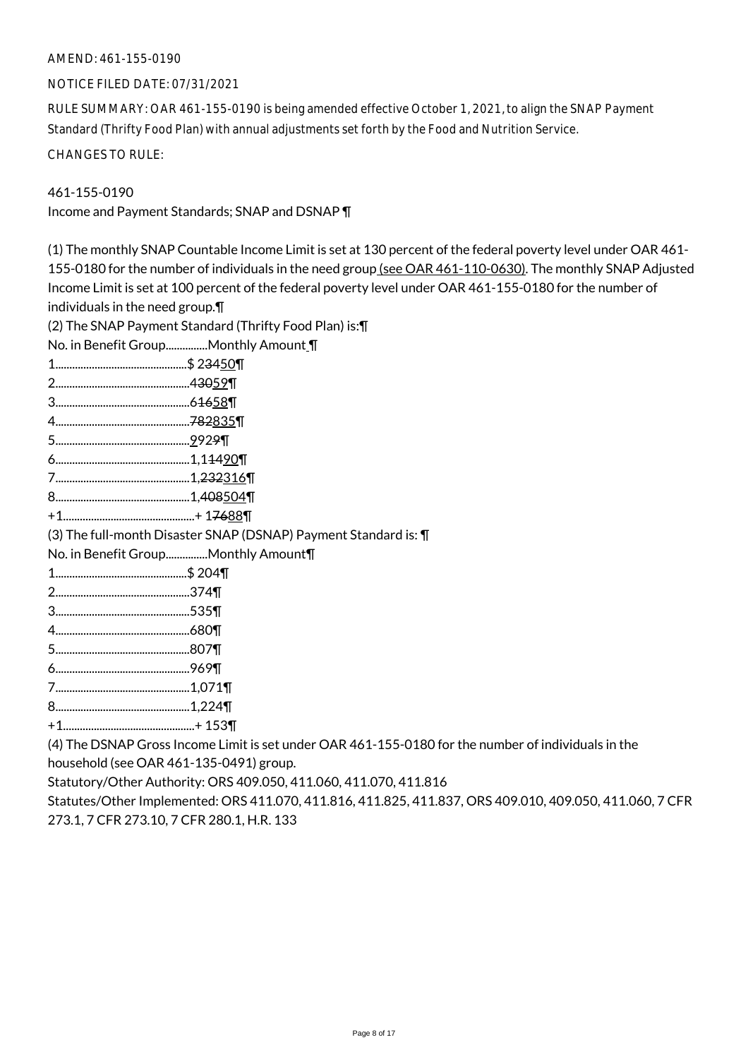### AMEND: 461-155-0190

#### NOTICE FILED DATE: 07/31/2021

RULE SUMMARY: OAR 461-155-0190 is being amended effective October 1, 2021, to align the SNAP Payment Standard (Thrifty Food Plan) with annual adjustments set forth by the Food and Nutrition Service.

CHANGES TO RULE:

461-155-0190

Income and Payment Standards; SNAP and DSNAP ¶

(1) The monthly SNAP Countable Income Limit is set at 130 percent of the federal poverty level under OAR 461- 155-0180 for the number of individuals in the need group (see OAR 461-110-0630). The monthly SNAP Adjusted Income Limit is set at 100 percent of the federal poverty level under OAR 461-155-0180 for the number of individuals in the need group.¶ (2) The SNAP Payment Standard (Thrifty Food Plan) is:¶ No. in Benefit Group...............Monthly Amount ¶ 1...............................................\$ 23450¶ 2................................................43059¶ 3................................................61658¶ 4................................................782835¶ 5................................................9929¶ 6................................................1,11490¶ 7................................................1,232316¶ 8................................................1,408504¶ +1...............................................+ 17688¶ (3) The full-month Disaster SNAP (DSNAP) Payment Standard is: ¶ No. in Benefit Group...............Monthly Amount¶ 1...............................................\$ 204¶ 2................................................374¶ 3................................................535¶ 4................................................680¶ 5................................................807¶ 6................................................969¶

- 7................................................1,071¶
- 8................................................1,224¶
- +1...............................................+ 153¶

(4) The DSNAP Gross Income Limit is set under OAR 461-155-0180 for the number of individuals in the household (see OAR 461-135-0491) group.

Statutory/Other Authority: ORS 409.050, 411.060, 411.070, 411.816

Statutes/Other Implemented: ORS 411.070, 411.816, 411.825, 411.837, ORS 409.010, 409.050, 411.060, 7 CFR 273.1, 7 CFR 273.10, 7 CFR 280.1, H.R. 133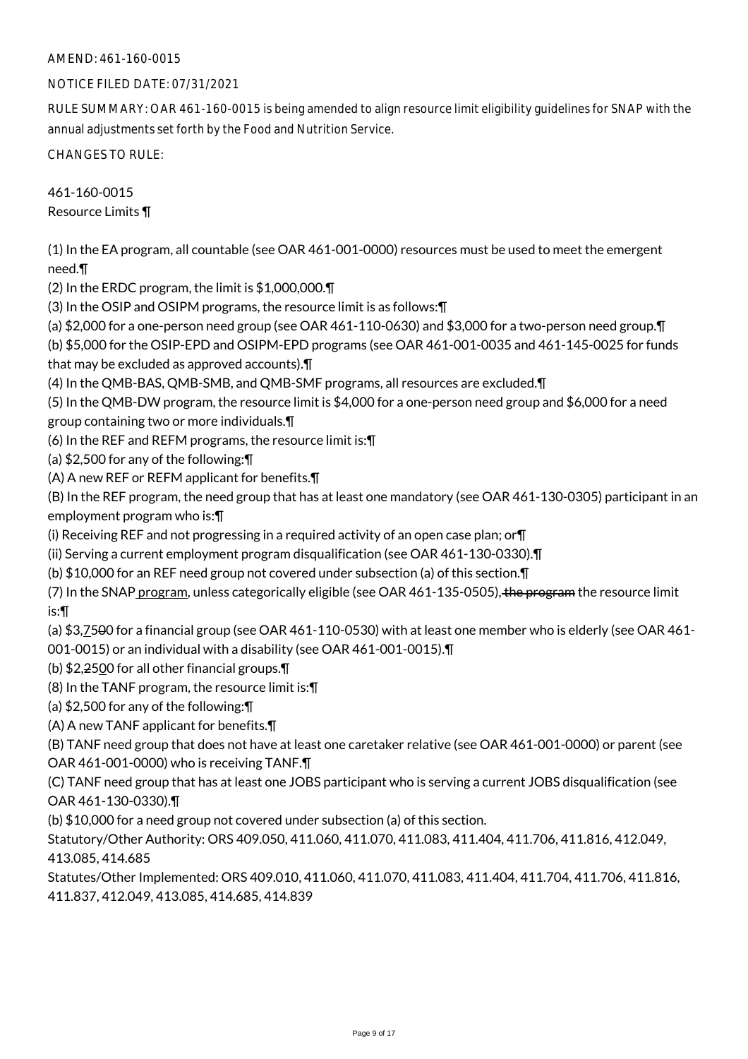# AMEND: 461-160-0015

# NOTICE FILED DATE: 07/31/2021

RULE SUMMARY: OAR 461-160-0015 is being amended to align resource limit eligibility guidelines for SNAP with the annual adjustments set forth by the Food and Nutrition Service.

CHANGES TO RULE:

461-160-0015 Resource Limits ¶

(1) In the EA program, all countable (see OAR 461-001-0000) resources must be used to meet the emergent need.¶

(2) In the ERDC program, the limit is \$1,000,000.¶

(3) In the OSIP and OSIPM programs, the resource limit is as follows:¶

(a) \$2,000 for a one-person need group (see OAR 461-110-0630) and \$3,000 for a two-person need group.¶

(b) \$5,000 for the OSIP-EPD and OSIPM-EPD programs (see OAR 461-001-0035 and 461-145-0025 for funds that may be excluded as approved accounts).¶

(4) In the QMB-BAS, QMB-SMB, and QMB-SMF programs, all resources are excluded.¶

(5) In the QMB-DW program, the resource limit is \$4,000 for a one-person need group and \$6,000 for a need group containing two or more individuals.¶

(6) In the REF and REFM programs, the resource limit is:¶

(a) \$2,500 for any of the following:¶

(A) A new REF or REFM applicant for benefits.¶

(B) In the REF program, the need group that has at least one mandatory (see OAR 461-130-0305) participant in an employment program who is:¶

(i) Receiving REF and not progressing in a required activity of an open case plan; or  $\P$ 

(ii) Serving a current employment program disqualification (see OAR 461-130-0330).¶

(b) \$10,000 for an REF need group not covered under subsection (a) of this section.¶

(7) In the SNAP program, unless categorically eligible (see OAR 461-135-0505), the program the resource limit is:¶

(a) \$3,7500 for a financial group (see OAR 461-110-0530) with at least one member who is elderly (see OAR 461-

001-0015) or an individual with a disability (see OAR 461-001-0015).¶

(b) \$2,2500 for all other financial groups.¶

(8) In the TANF program, the resource limit is:¶

(a) \$2,500 for any of the following:¶

(A) A new TANF applicant for benefits.¶

(B) TANF need group that does not have at least one caretaker relative (see OAR 461-001-0000) or parent (see OAR 461-001-0000) who is receiving TANF.¶

(C) TANF need group that has at least one JOBS participant who is serving a current JOBS disqualification (see OAR 461-130-0330).¶

(b) \$10,000 for a need group not covered under subsection (a) of this section.

Statutory/Other Authority: ORS 409.050, 411.060, 411.070, 411.083, 411.404, 411.706, 411.816, 412.049, 413.085, 414.685

Statutes/Other Implemented: ORS 409.010, 411.060, 411.070, 411.083, 411.404, 411.704, 411.706, 411.816, 411.837, 412.049, 413.085, 414.685, 414.839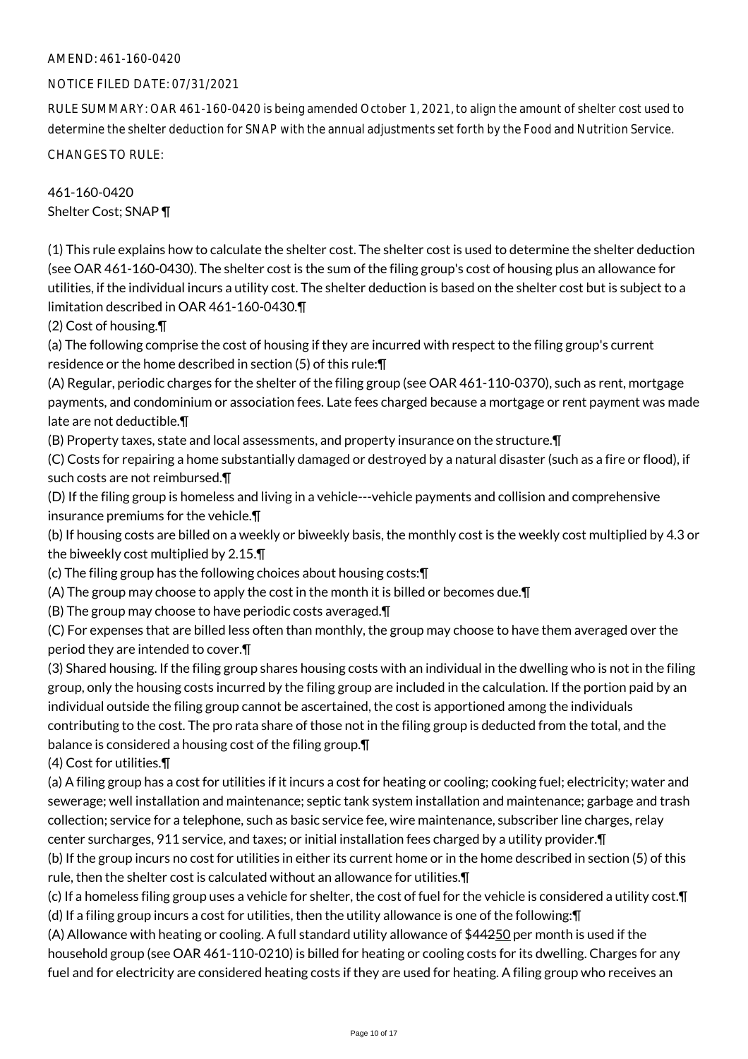# AMEND: 461-160-0420

#### NOTICE FILED DATE: 07/31/2021

RULE SUMMARY: OAR 461-160-0420 is being amended October 1, 2021, to align the amount of shelter cost used to determine the shelter deduction for SNAP with the annual adjustments set forth by the Food and Nutrition Service.

CHANGES TO RULE:

# 461-160-0420 Shelter Cost; SNAP ¶

(1) This rule explains how to calculate the shelter cost. The shelter cost is used to determine the shelter deduction (see OAR 461-160-0430). The shelter cost is the sum of the filing group's cost of housing plus an allowance for utilities, if the individual incurs a utility cost. The shelter deduction is based on the shelter cost but is subject to a limitation described in OAR 461-160-0430.¶

(2) Cost of housing.¶

(a) The following comprise the cost of housing if they are incurred with respect to the filing group's current residence or the home described in section (5) of this rule:¶

(A) Regular, periodic charges for the shelter of the filing group (see OAR 461-110-0370), such as rent, mortgage payments, and condominium or association fees. Late fees charged because a mortgage or rent payment was made late are not deductible.¶

(B) Property taxes, state and local assessments, and property insurance on the structure.¶

(C) Costs for repairing a home substantially damaged or destroyed by a natural disaster (such as a fire or flood), if such costs are not reimbursed.¶

(D) If the filing group is homeless and living in a vehicle---vehicle payments and collision and comprehensive insurance premiums for the vehicle.¶

(b) If housing costs are billed on a weekly or biweekly basis, the monthly cost is the weekly cost multiplied by 4.3 or the biweekly cost multiplied by 2.15.¶

(c) The filing group has the following choices about housing costs:¶

(A) The group may choose to apply the cost in the month it is billed or becomes due.¶

(B) The group may choose to have periodic costs averaged.¶

(C) For expenses that are billed less often than monthly, the group may choose to have them averaged over the period they are intended to cover.¶

(3) Shared housing. If the filing group shares housing costs with an individual in the dwelling who is not in the filing group, only the housing costs incurred by the filing group are included in the calculation. If the portion paid by an individual outside the filing group cannot be ascertained, the cost is apportioned among the individuals contributing to the cost. The pro rata share of those not in the filing group is deducted from the total, and the balance is considered a housing cost of the filing group.¶

(4) Cost for utilities.¶

(a) A filing group has a cost for utilities if it incurs a cost for heating or cooling; cooking fuel; electricity; water and sewerage; well installation and maintenance; septic tank system installation and maintenance; garbage and trash collection; service for a telephone, such as basic service fee, wire maintenance, subscriber line charges, relay center surcharges, 911 service, and taxes; or initial installation fees charged by a utility provider.¶

(b) If the group incurs no cost for utilities in either its current home or in the home described in section (5) of this rule, then the shelter cost is calculated without an allowance for utilities.¶

(c) If a homeless filing group uses a vehicle for shelter, the cost of fuel for the vehicle is considered a utility cost.¶ (d) If a filing group incurs a cost for utilities, then the utility allowance is one of the following:¶

(A) Allowance with heating or cooling. A full standard utility allowance of \$44250 per month is used if the household group (see OAR 461-110-0210) is billed for heating or cooling costs for its dwelling. Charges for any fuel and for electricity are considered heating costs if they are used for heating. A filing group who receives an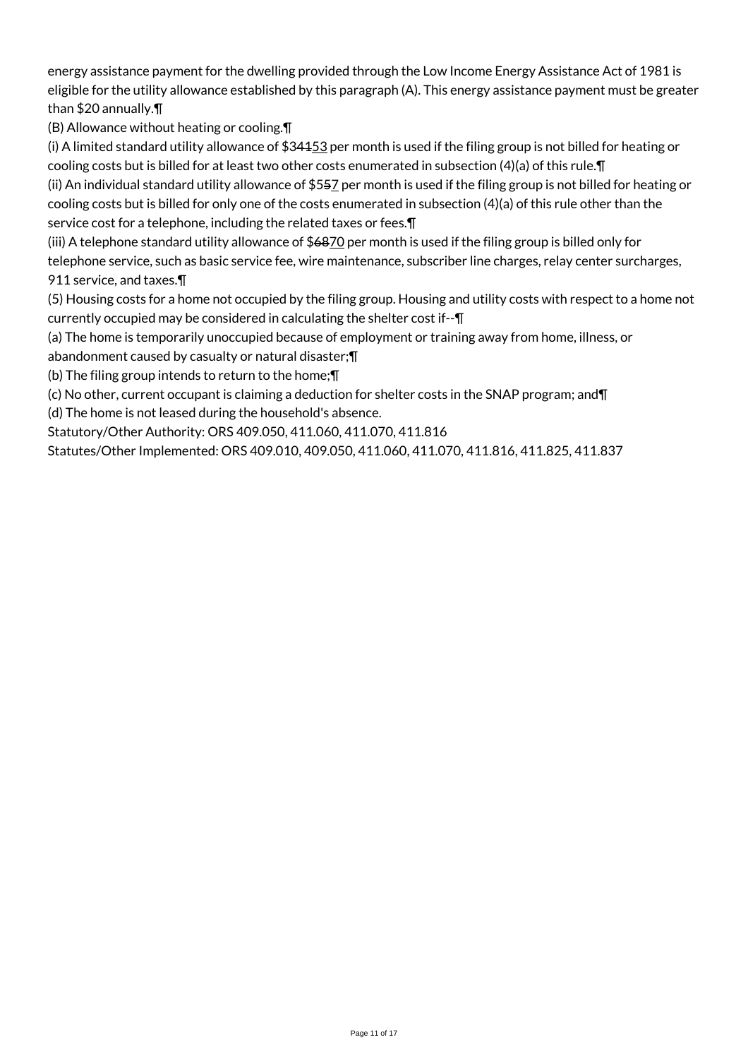energy assistance payment for the dwelling provided through the Low Income Energy Assistance Act of 1981 is eligible for the utility allowance established by this paragraph (A). This energy assistance payment must be greater than \$20 annually.¶

(B) Allowance without heating or cooling.¶

(i) A limited standard utility allowance of  $$34453$  per month is used if the filing group is not billed for heating or cooling costs but is billed for at least two other costs enumerated in subsection (4)(a) of this rule.¶

(ii) An individual standard utility allowance of \$557 per month is used if the filing group is not billed for heating or cooling costs but is billed for only one of the costs enumerated in subsection (4)(a) of this rule other than the service cost for a telephone, including the related taxes or fees.¶

(iii) A telephone standard utility allowance of \$6870 per month is used if the filing group is billed only for

telephone service, such as basic service fee, wire maintenance, subscriber line charges, relay center surcharges, 911 service, and taxes.¶

(5) Housing costs for a home not occupied by the filing group. Housing and utility costs with respect to a home not currently occupied may be considered in calculating the shelter cost if--¶

(a) The home is temporarily unoccupied because of employment or training away from home, illness, or abandonment caused by casualty or natural disaster;¶

(b) The filing group intends to return to the home;¶

(c) No other, current occupant is claiming a deduction for shelter costs in the SNAP program; and¶

(d) The home is not leased during the household's absence.

Statutory/Other Authority: ORS 409.050, 411.060, 411.070, 411.816

Statutes/Other Implemented: ORS 409.010, 409.050, 411.060, 411.070, 411.816, 411.825, 411.837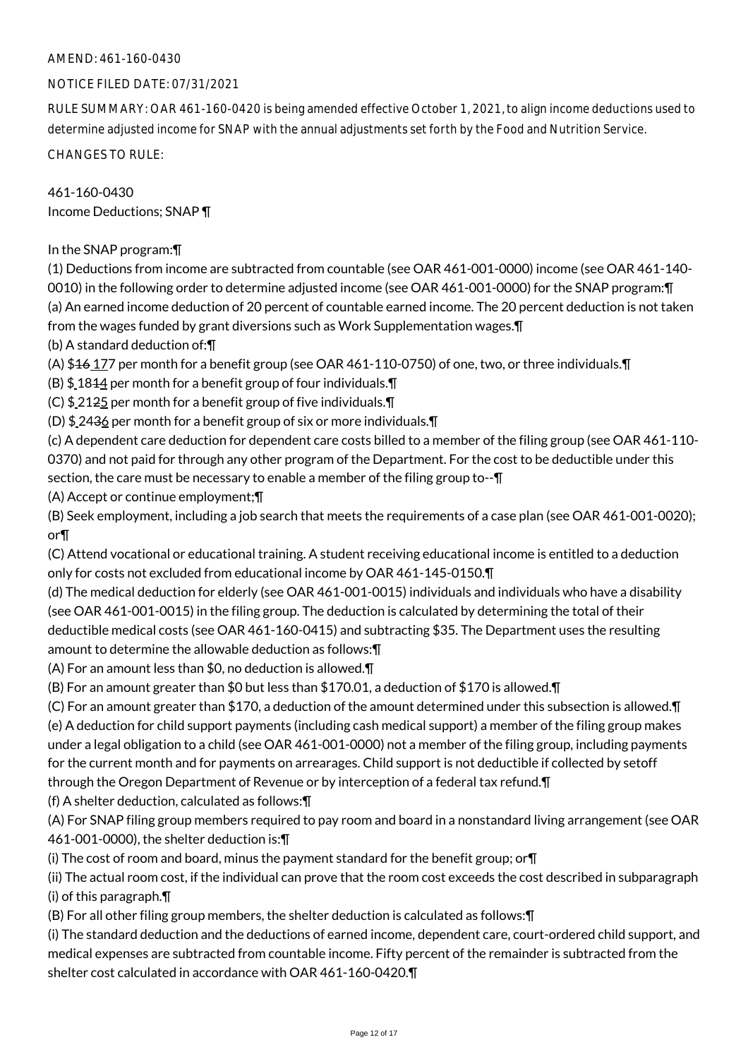# AMEND: 461-160-0430

# NOTICE FILED DATE: 07/31/2021

RULE SUMMARY: OAR 461-160-0420 is being amended effective October 1, 2021, to align income deductions used to determine adjusted income for SNAP with the annual adjustments set forth by the Food and Nutrition Service.

CHANGES TO RULE:

461-160-0430 Income Deductions; SNAP ¶

In the SNAP program:¶

(1) Deductions from income are subtracted from countable (see OAR 461-001-0000) income (see OAR 461-140- 0010) in the following order to determine adjusted income (see OAR 461-001-0000) for the SNAP program:¶ (a) An earned income deduction of 20 percent of countable earned income. The 20 percent deduction is not taken from the wages funded by grant diversions such as Work Supplementation wages.¶

(b) A standard deduction of:¶

(A)  $$46,177$  per month for a benefit group (see OAR 461-110-0750) of one, two, or three individuals. $\P$ 

(B)  $$1844$  per month for a benefit group of four individuals. $\P$ 

(C) \$ 2125 per month for a benefit group of five individuals.¶

(D) \$ 2436 per month for a benefit group of six or more individuals.¶

(c) A dependent care deduction for dependent care costs billed to a member of the filing group (see OAR 461-110- 0370) and not paid for through any other program of the Department. For the cost to be deductible under this section, the care must be necessary to enable a member of the filing group to-- $\P$ 

(A) Accept or continue employment;¶

(B) Seek employment, including a job search that meets the requirements of a case plan (see OAR 461-001-0020); or¶

(C) Attend vocational or educational training. A student receiving educational income is entitled to a deduction only for costs not excluded from educational income by OAR 461-145-0150.¶

(d) The medical deduction for elderly (see OAR 461-001-0015) individuals and individuals who have a disability (see OAR 461-001-0015) in the filing group. The deduction is calculated by determining the total of their deductible medical costs (see OAR 461-160-0415) and subtracting \$35. The Department uses the resulting amount to determine the allowable deduction as follows:¶

(A) For an amount less than \$0, no deduction is allowed.¶

(B) For an amount greater than \$0 but less than \$170.01, a deduction of \$170 is allowed.¶

(C) For an amount greater than \$170, a deduction of the amount determined under this subsection is allowed.¶ (e) A deduction for child support payments (including cash medical support) a member of the filing group makes under a legal obligation to a child (see OAR 461-001-0000) not a member of the filing group, including payments for the current month and for payments on arrearages. Child support is not deductible if collected by setoff through the Oregon Department of Revenue or by interception of a federal tax refund.¶

(f) A shelter deduction, calculated as follows:¶

(A) For SNAP filing group members required to pay room and board in a nonstandard living arrangement (see OAR 461-001-0000), the shelter deduction is:¶

(i) The cost of room and board, minus the payment standard for the benefit group; or¶

(ii) The actual room cost, if the individual can prove that the room cost exceeds the cost described in subparagraph (i) of this paragraph.¶

(B) For all other filing group members, the shelter deduction is calculated as follows:¶

(i) The standard deduction and the deductions of earned income, dependent care, court-ordered child support, and medical expenses are subtracted from countable income. Fifty percent of the remainder is subtracted from the shelter cost calculated in accordance with OAR 461-160-0420.¶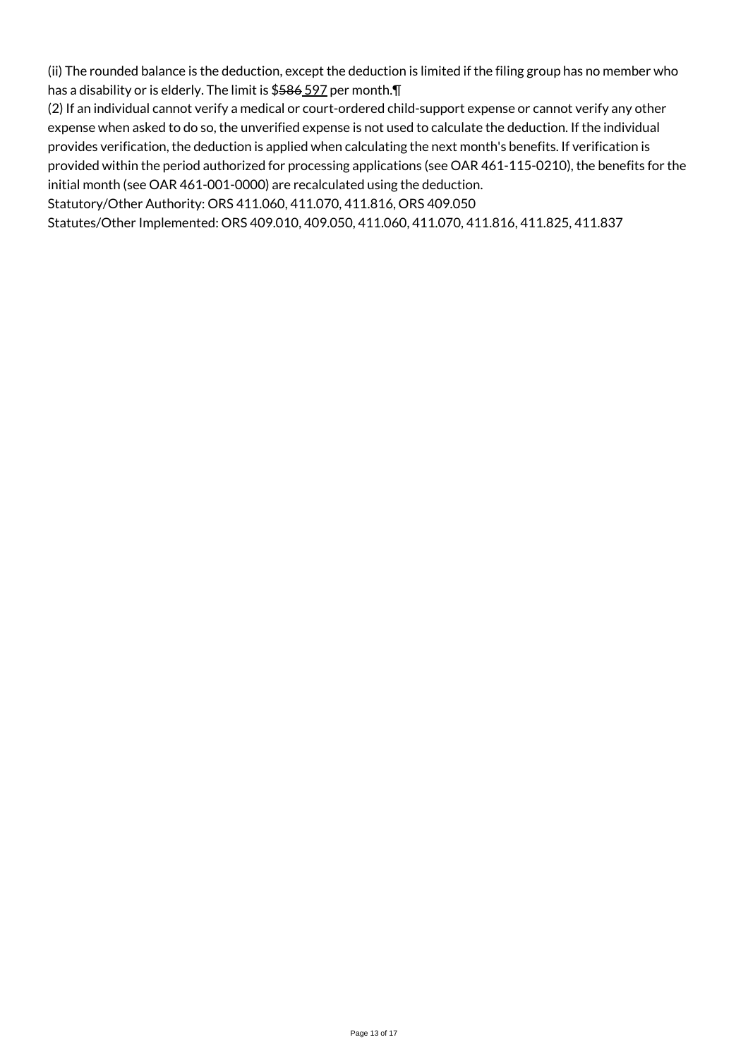(ii) The rounded balance is the deduction, except the deduction is limited if the filing group has no member who has a disability or is elderly. The limit is \$586 597 per month.¶

(2) If an individual cannot verify a medical or court-ordered child-support expense or cannot verify any other expense when asked to do so, the unverified expense is not used to calculate the deduction. If the individual provides verification, the deduction is applied when calculating the next month's benefits. If verification is provided within the period authorized for processing applications (see OAR 461-115-0210), the benefits for the initial month (see OAR 461-001-0000) are recalculated using the deduction.

Statutory/Other Authority: ORS 411.060, 411.070, 411.816, ORS 409.050

Statutes/Other Implemented: ORS 409.010, 409.050, 411.060, 411.070, 411.816, 411.825, 411.837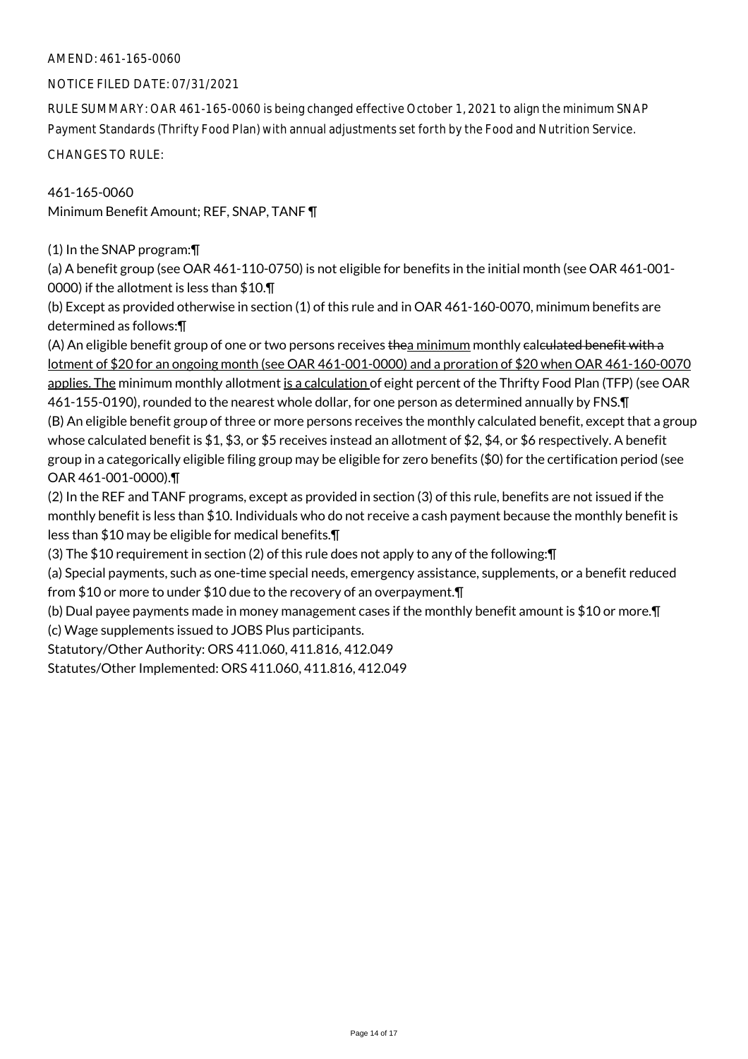# AMEND: 461-165-0060

#### NOTICE FILED DATE: 07/31/2021

RULE SUMMARY: OAR 461-165-0060 is being changed effective October 1, 2021 to align the minimum SNAP Payment Standards (Thrifty Food Plan) with annual adjustments set forth by the Food and Nutrition Service.

CHANGES TO RULE:

461-165-0060 Minimum Benefit Amount; REF, SNAP, TANF ¶

(1) In the SNAP program:¶

(a) A benefit group (see OAR 461-110-0750) is not eligible for benefits in the initial month (see OAR 461-001- 0000) if the allotment is less than \$10.¶

(b) Except as provided otherwise in section (1) of this rule and in OAR 461-160-0070, minimum benefits are determined as follows:¶

(A) An eligible benefit group of one or two persons receives thea minimum monthly ealculated benefit with a lotment of \$20 for an ongoing month (see OAR 461-001-0000) and a proration of \$20 when OAR 461-160-0070 applies. The minimum monthly allotment is a calculation of eight percent of the Thrifty Food Plan (TFP) (see OAR 461-155-0190), rounded to the nearest whole dollar, for one person as determined annually by FNS.¶ (B) An eligible benefit group of three or more persons receives the monthly calculated benefit, except that a group whose calculated benefit is \$1, \$3, or \$5 receives instead an allotment of \$2, \$4, or \$6 respectively. A benefit group in a categorically eligible filing group may be eligible for zero benefits (\$0) for the certification period (see OAR 461-001-0000).¶

(2) In the REF and TANF programs, except as provided in section (3) of this rule, benefits are not issued if the monthly benefit is less than \$10. Individuals who do not receive a cash payment because the monthly benefit is less than \$10 may be eligible for medical benefits.¶

(3) The \$10 requirement in section (2) of this rule does not apply to any of the following:¶

(a) Special payments, such as one-time special needs, emergency assistance, supplements, or a benefit reduced from \$10 or more to under \$10 due to the recovery of an overpayment.¶

(b) Dual payee payments made in money management cases if the monthly benefit amount is \$10 or more.¶ (c) Wage supplements issued to JOBS Plus participants.

Statutory/Other Authority: ORS 411.060, 411.816, 412.049

Statutes/Other Implemented: ORS 411.060, 411.816, 412.049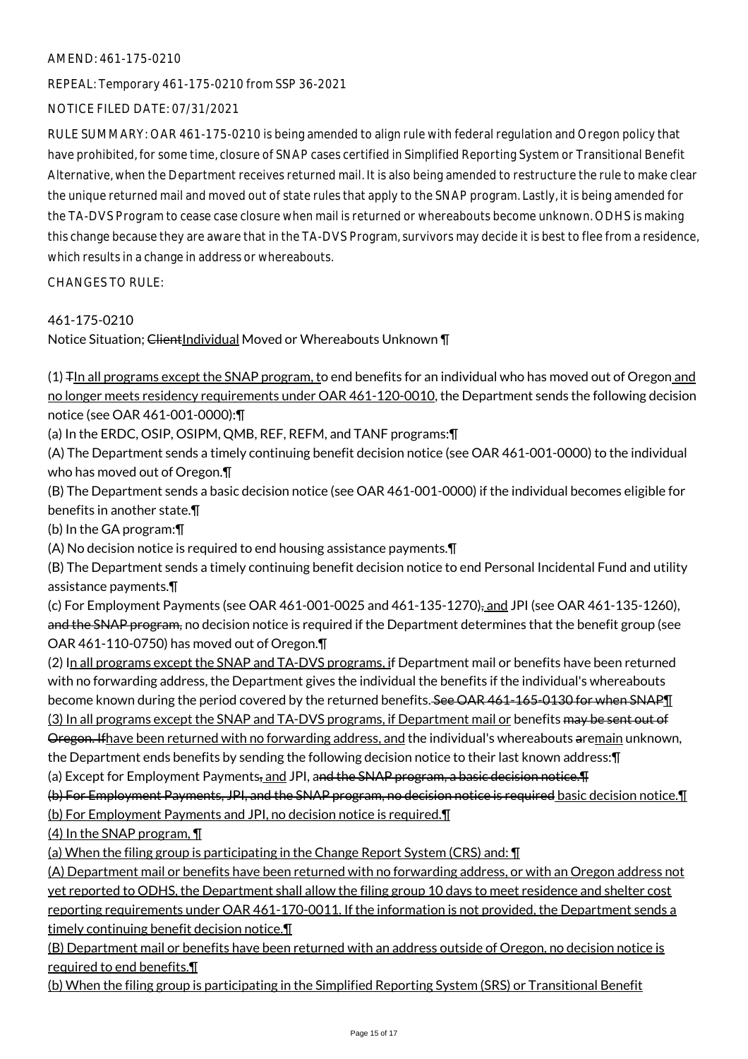# AMEND: 461-175-0210

REPEAL: Temporary 461-175-0210 from SSP 36-2021

# NOTICE FILED DATE: 07/31/2021

RULE SUMMARY: OAR 461-175-0210 is being amended to align rule with federal regulation and Oregon policy that have prohibited, for some time, closure of SNAP cases certified in Simplified Reporting System or Transitional Benefit Alternative, when the Department receives returned mail. It is also being amended to restructure the rule to make clear the unique returned mail and moved out of state rules that apply to the SNAP program. Lastly, it is being amended for the TA-DVS Program to cease case closure when mail is returned or whereabouts become unknown. ODHS is making this change because they are aware that in the TA-DVS Program, survivors may decide it is best to flee from a residence, which results in a change in address or whereabouts.

CHANGES TO RULE:

# 461-175-0210

Notice Situation; ClientIndividual Moved or Whereabouts Unknown \[

 $(1)$   $\mp$  In all programs except the SNAP program, to end benefits for an individual who has moved out of Oregon and no longer meets residency requirements under OAR 461-120-0010, the Department sends the following decision notice (see OAR 461-001-0000):¶

(a) In the ERDC, OSIP, OSIPM, QMB, REF, REFM, and TANF programs:¶

(A) The Department sends a timely continuing benefit decision notice (see OAR 461-001-0000) to the individual who has moved out of Oregon.¶

(B) The Department sends a basic decision notice (see OAR 461-001-0000) if the individual becomes eligible for benefits in another state.¶

(b) In the GA program:¶

(A) No decision notice is required to end housing assistance payments.¶

(B) The Department sends a timely continuing benefit decision notice to end Personal Incidental Fund and utility assistance payments.¶

(c) For Employment Payments (see OAR 461-001-0025 and 461-135-1270), and JPI (see OAR 461-135-1260), and the SNAP program, no decision notice is required if the Department determines that the benefit group (see OAR 461-110-0750) has moved out of Oregon.¶

(2) In all programs except the SNAP and TA-DVS programs, if Department mail or benefits have been returned with no forwarding address, the Department gives the individual the benefits if the individual's whereabouts become known during the period covered by the returned benefits. See OAR 461-165-0130 for when SNAPT (3) In all programs except the SNAP and TA-DVS programs, if Department mail or benefits may be sent out of Oregon. If have been returned with no forwarding address, and the individual's whereabouts aremain unknown, the Department ends benefits by sending the following decision notice to their last known address:¶

(a) Except for Employment Payments, and JPI, and the SNAP program, a basic decision notice. T

(b) For Employment Payments, JPI, and the SNAP program, no decision notice is required basic decision notice.¶

(b) For Employment Payments and JPI, no decision notice is required.¶

(4) In the SNAP program, ¶

(a) When the filing group is participating in the Change Report System (CRS) and: ¶

(A) Department mail or benefits have been returned with no forwarding address, or with an Oregon address not yet reported to ODHS, the Department shall allow the filing group 10 days to meet residence and shelter cost reporting requirements under OAR 461-170-0011. If the information is not provided, the Department sends a timely continuing benefit decision notice.¶

(B) Department mail or benefits have been returned with an address outside of Oregon, no decision notice is required to end benefits.¶

(b) When the filing group is participating in the Simplified Reporting System (SRS) or Transitional Benefit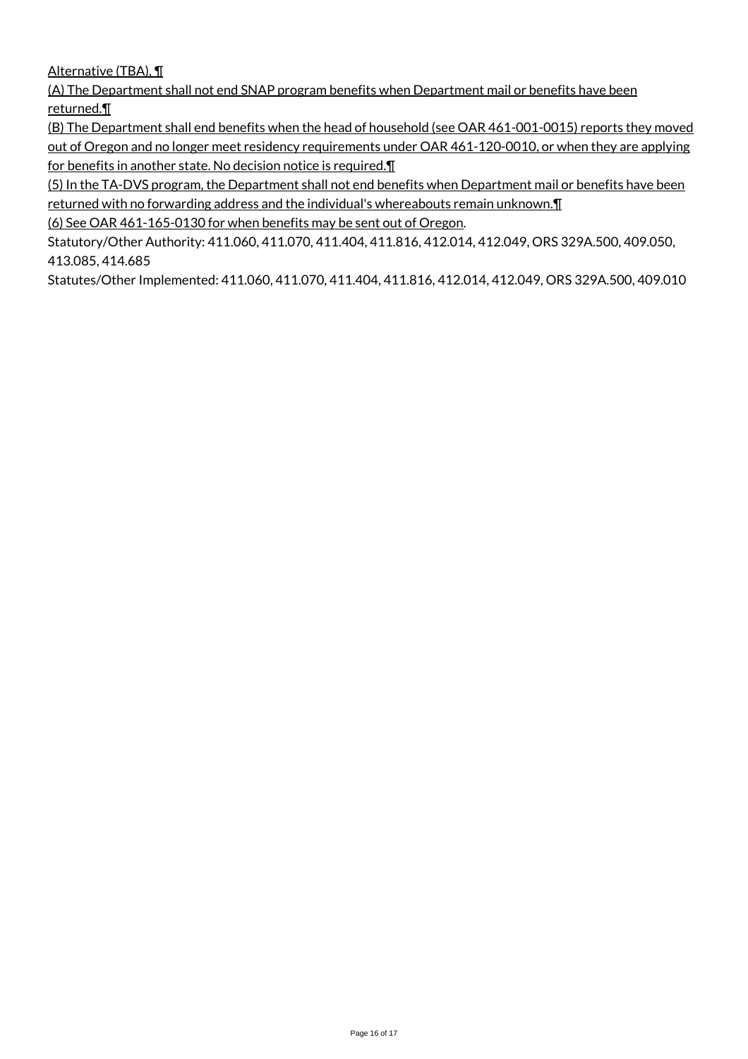# Alternative (TBA), ¶

(A) The Department shall not end SNAP program benefits when Department mail or benefits have been returned.¶

(B) The Department shall end benefits when the head of household (see OAR 461-001-0015) reports they moved out of Oregon and no longer meet residency requirements under OAR 461-120-0010, or when they are applying for benefits in another state. No decision notice is required.

(5) In the TA-DVS program, the Department shall not end benefits when Department mail or benefits have been returned with no forwarding address and the individual's whereabouts remain unknown.¶

(6) See OAR 461-165-0130 for when benefits may be sent out of Oregon.

Statutory/Other Authority: 411.060, 411.070, 411.404, 411.816, 412.014, 412.049, ORS 329A.500, 409.050, 413.085, 414.685

Statutes/Other Implemented: 411.060, 411.070, 411.404, 411.816, 412.014, 412.049, ORS 329A.500, 409.010